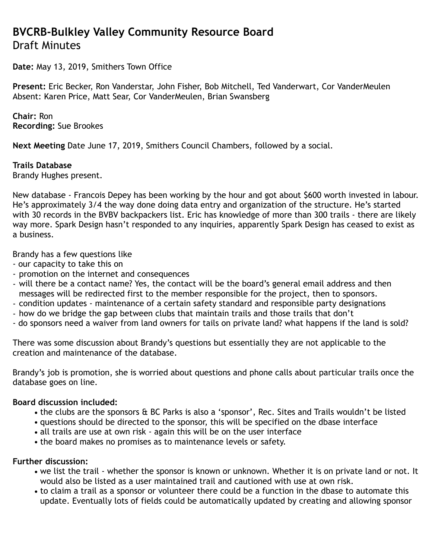# **BVCRB-Bulkley Valley Community Resource Board** Draft Minutes

**Date:** May 13, 2019, Smithers Town Office

**Present:** Eric Becker, Ron Vanderstar, John Fisher, Bob Mitchell, Ted Vanderwart, Cor VanderMeulen Absent: Karen Price, Matt Sear, Cor VanderMeulen, Brian Swansberg

**Chair:** Ron **Recording:** Sue Brookes

**Next Meeting** Date June 17, 2019, Smithers Council Chambers, followed by a social.

#### **Trails Database**

Brandy Hughes present.

New database - Francois Depey has been working by the hour and got about \$600 worth invested in labour. He's approximately 3/4 the way done doing data entry and organization of the structure. He's started with 30 records in the BVBV backpackers list. Eric has knowledge of more than 300 trails - there are likely way more. Spark Design hasn't responded to any inquiries, apparently Spark Design has ceased to exist as a business.

Brandy has a few questions like

- our capacity to take this on
- promotion on the internet and consequences
- will there be a contact name? Yes, the contact will be the board's general email address and then messages will be redirected first to the member responsible for the project, then to sponsors.
- condition updates maintenance of a certain safety standard and responsible party designations
- how do we bridge the gap between clubs that maintain trails and those trails that don't
- do sponsors need a waiver from land owners for tails on private land? what happens if the land is sold?

There was some discussion about Brandy's questions but essentially they are not applicable to the creation and maintenance of the database.

Brandy's job is promotion, she is worried about questions and phone calls about particular trails once the database goes on line.

#### **Board discussion included:**

- the clubs are the sponsors & BC Parks is also a 'sponsor', Rec. Sites and Trails wouldn't be listed
- questions should be directed to the sponsor, this will be specified on the dbase interface
- all trails are use at own risk again this will be on the user interface
- the board makes no promises as to maintenance levels or safety.

#### **Further discussion:**

- we list the trail whether the sponsor is known or unknown. Whether it is on private land or not. It would also be listed as a user maintained trail and cautioned with use at own risk.
- to claim a trail as a sponsor or volunteer there could be a function in the dbase to automate this update. Eventually lots of fields could be automatically updated by creating and allowing sponsor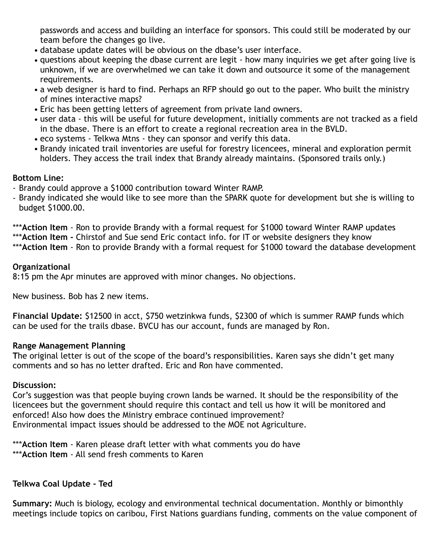passwords and access and building an interface for sponsors. This could still be moderated by our team before the changes go live.

- database update dates will be obvious on the dbase's user interface.
- questions about keeping the dbase current are legit how many inquiries we get after going live is unknown, if we are overwhelmed we can take it down and outsource it some of the management requirements.
- a web designer is hard to find. Perhaps an RFP should go out to the paper. Who built the ministry of mines interactive maps?
- Eric has been getting letters of agreement from private land owners.
- user data this will be useful for future development, initially comments are not tracked as a field in the dbase. There is an effort to create a regional recreation area in the BVLD.
- eco systems Telkwa Mtns they can sponsor and verify this data.
- Brandy inicated trail inventories are useful for forestry licencees, mineral and exploration permit holders. They access the trail index that Brandy already maintains. (Sponsored trails only.)

# **Bottom Line:**

- Brandy could approve a \$1000 contribution toward Winter RAMP.
- Brandy indicated she would like to see more than the SPARK quote for development but she is willing to budget \$1000.00.

\*\*\***Action Item** - Ron to provide Brandy with a formal request for \$1000 toward Winter RAMP updates

\*\*\***Action Item -** Chirstof and Sue send Eric contact info. for IT or website designers they know

\*\*\***Action Item** - Ron to provide Brandy with a formal request for \$1000 toward the database development

## **Organizational**

8:15 pm the Apr minutes are approved with minor changes. No objections.

New business. Bob has 2 new items.

**Financial Update:** \$12500 in acct, \$750 wetzinkwa funds, \$2300 of which is summer RAMP funds which can be used for the trails dbase. BVCU has our account, funds are managed by Ron.

## **Range Management Planning**

**T**he original letter is out of the scope of the board's responsibilities. Karen says she didn't get many comments and so has no letter drafted. Eric and Ron have commented.

## **Discussion:**

Cor's suggestion was that people buying crown lands be warned. It should be the responsibility of the licencees but the government should require this contact and tell us how it will be monitored and enforced! Also how does the Ministry embrace continued improvement? Environmental impact issues should be addressed to the MOE not Agriculture.

\*\*\***Action Item** - Karen please draft letter with what comments you do have \*\*\***Action Item** - All send fresh comments to Karen

# **Telkwa Coal Update - Ted**

**Summary:** Much is biology, ecology and environmental technical documentation. Monthly or bimonthly meetings include topics on caribou, First Nations guardians funding, comments on the value component of